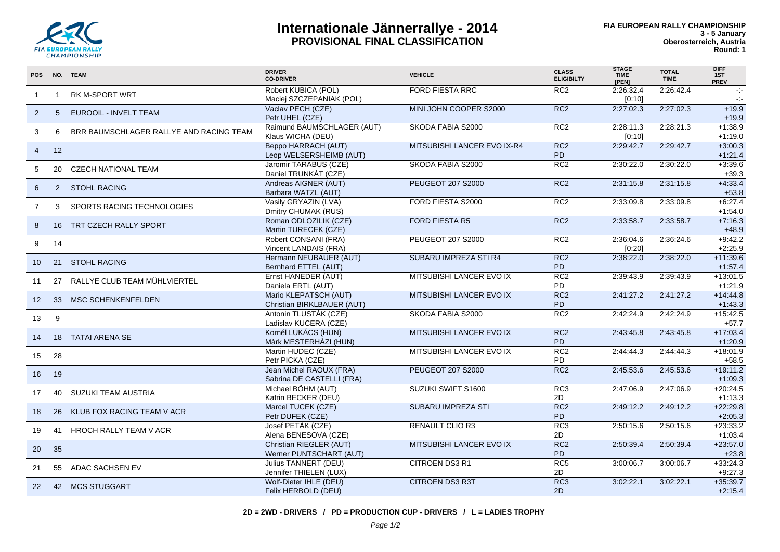

## **Internationale Jännerrallye - 2014 PROVISIONAL FINAL CLASSIFICATION**

| <b>POS</b>      |                | NO. TEAM                                | <b>DRIVER</b><br><b>CO-DRIVER</b>                     | <b>VEHICLE</b>              | <b>CLASS</b><br><b>ELIGIBILTY</b> | <b>STAGE</b><br><b>TIME</b><br>[PEN] | <b>TOTAL</b><br><b>TIME</b> | <b>DIFF</b><br>1ST<br><b>PREV</b> |
|-----------------|----------------|-----------------------------------------|-------------------------------------------------------|-----------------------------|-----------------------------------|--------------------------------------|-----------------------------|-----------------------------------|
| -1              | $\overline{1}$ | <b>RK M-SPORT WRT</b>                   | Robert KUBICA (POL)<br>Maciej SZCZEPANIAK (POL)       | <b>FORD FIESTA RRC</b>      | RC2                               | 2:26:32.4<br>[0:10]                  | 2:26:42.4                   | $\sim 10$<br>$\sim$               |
| $\overline{2}$  | $5^{\circ}$    | EUROOIL - INVELT TEAM                   | Vaclav PECH (CZE)<br>Petr UHEL (CZE)                  | MINI JOHN COOPER S2000      | RC <sub>2</sub>                   | 2:27:02.3                            | 2:27:02.3                   | $+19.9$<br>$+19.9$                |
| 3               | 6              | BRR BAUMSCHLAGER RALLYE AND RACING TEAM | Raimund BAUMSCHLAGER (AUT)<br>Klaus WICHA (DEU)       | SKODA FABIA S2000           | RC2                               | 2:28:11.3<br>[0:10]                  | 2:28:21.3                   | $+1:38.9$<br>$+1:19.0$            |
| $\overline{4}$  | 12             |                                         | <b>Beppo HARRACH (AUT)</b><br>Leop WELSERSHEIMB (AUT) | MITSUBISHI LANCER EVO IX-R4 | RC2<br>P <sub>D</sub>             | 2:29:42.7                            | 2:29:42.7                   | $+3:00.3$<br>$+1.21.4$            |
| 5               | 20             | <b>CZECH NATIONAL TEAM</b>              | Jaromir TARABUS (CZE)<br>Daniel TRUNKÁT (CZE)         | SKODA FABIA S2000           | RC2                               | 2:30:22.0                            | 2:30:22.0                   | $+3:39.6$<br>$+39.3$              |
| 6               |                | 2 STOHL RACING                          | Andreas AIGNER (AUT)<br>Barbara WATZL (AUT)           | PEUGEOT 207 S2000           | RC <sub>2</sub>                   | 2:31:15.8                            | 2:31:15.8                   | $+4:33.4$<br>$+53.8$              |
| $\overline{7}$  | 3              | SPORTS RACING TECHNOLOGIES              | Vasily GRYAZIN (LVA)<br>Dmitry CHUMAK (RUS)           | FORD FIESTA S2000           | RC2                               | 2:33:09.8                            | 2:33:09.8                   | $+6.27.4$<br>$+1.54.0$            |
| 8               |                | 16 TRT CZECH RALLY SPORT                | Roman ODLOZILIK (CZE)<br>Martin TURECEK (CZE)         | <b>FORD FIESTA R5</b>       | RC2                               | 2:33:58.7                            | 2:33:58.7                   | $+7:16.3$<br>$+48.9$              |
| 9               | 14             |                                         | Robert CONSANI (FRA)<br>Vincent LANDAIS (FRA)         | PEUGEOT 207 S2000           | RC2                               | 2:36:04.6<br>[0:20]                  | 2:36:24.6                   | $+9:42.2$<br>$+2:25.9$            |
| 10              |                | 21 STOHL RACING                         | Hermann NEUBAUER (AUT)<br>Bernhard ETTEL (AUT)        | SUBARU IMPREZA STI R4       | RC <sub>2</sub><br><b>PD</b>      | 2:38:22.0                            | 2:38:22.0                   | $+11:39.6$<br>$+1:57.4$           |
| 11              | 27             | RALLYE CLUB TEAM MÜHLVIERTEL            | Ernst HANEDER (AUT)<br>Daniela ERTL (AUT)             | MITSUBISHI LANCER EVO IX    | RC <sub>2</sub><br><b>PD</b>      | 2:39:43.9                            | 2:39:43.9                   | $+13:01.5$<br>$+1:21.9$           |
| 12 <sup>2</sup> | 33             | <b>MSC SCHENKENFELDEN</b>               | Mario KLEPATSCH (AUT)<br>Christian BIRKLBAUER (AUT)   | MITSUBISHI LANCER EVO IX    | RC2<br>P <sub>D</sub>             | 2:41:27.2                            | 2:41:27.2                   | $+14:44.8$<br>$+1.43.3$           |
| 13              | 9              |                                         | Antonin TLUSTÁK (CZE)<br>Ladislav KUCERA (CZE)        | SKODA FABIA S2000           | RC2                               | 2:42:24.9                            | 2:42:24.9                   | $+15.42.5$<br>$+57.7$             |
| 14              |                | 18 TATAI ARENA SE                       | Kornél LUKÁCS (HUN)<br>Màrk MESTERHÀZI (HUN)          | MITSUBISHI LANCER EVO IX    | RC <sub>2</sub><br>PD             | 2:43:45.8                            | 2:43:45.8                   | $+17:03.4$<br>$+1:20.9$           |
| 15              | 28             |                                         | Martin HUDEC (CZE)<br>Petr PICKA (CZE)                | MITSUBISHI LANCER EVO IX    | RC <sub>2</sub><br>PD.            | 2:44:44.3                            | 2:44:44.3                   | $+18:01.9$<br>$+58.5$             |
| 16              | 19             |                                         | Jean Michel RAOUX (FRA)<br>Sabrina DE CASTELLI (FRA)  | PEUGEOT 207 S2000           | RC <sub>2</sub>                   | 2:45:53.6                            | 2:45:53.6                   | $+19:11.2$<br>$+1:09.3$           |
| 17              | 40             | SUZUKI TEAM AUSTRIA                     | Michael BÖHM (AUT)<br>Katrin BECKER (DEU)             | SUZUKI SWIFT S1600          | RC <sub>3</sub><br>2D             | 2:47:06.9                            | 2:47:06.9                   | $+20:24.5$<br>$+1:13.3$           |
| 18              | 26             | KLUB FOX RACING TEAM V ACR              | Marcel TUCEK (CZE)<br>Petr DUFEK (CZE)                | <b>SUBARU IMPREZA STI</b>   | RC2<br><b>PD</b>                  | 2:49:12.2                            | 2:49:12.2                   | $+22:29.8$<br>$+2:05.3$           |
| 19              |                | 41 HROCH RALLY TEAM V ACR               | Josef PETÀK (CZE)<br>Alena BENESOVA (CZE)             | <b>RENAULT CLIO R3</b>      | RC3<br>2D                         | 2:50:15.6                            | 2:50:15.6                   | $+23:33.2$<br>$+1:03.4$           |
| 20              | 35             |                                         | Christian RIEGLER (AUT)<br>Werner PUNTSCHART (AUT)    | MITSUBISHI LANCER EVO IX    | RC <sub>2</sub><br><b>PD</b>      | 2:50:39.4                            | 2:50:39.4                   | $+23:57.0$<br>$+23.8$             |
| 21              |                | 55 ADAC SACHSEN EV                      | Julius TANNERT (DEU)<br>Jennifer THIELEN (LUX)        | CITROEN DS3 R1              | RC5<br>2D                         | 3:00:06.7                            | 3:00:06.7                   | $+33:24.3$<br>$+9:27.3$           |
| 22              |                | 42 MCS STUGGART                         | Wolf-Dieter IHLE (DEU)<br>Felix HERBOLD (DEU)         | <b>CITROEN DS3 R3T</b>      | RC <sub>3</sub><br>2D             | 3:02:22.1                            | 3:02:22.1                   | $+35:39.7$<br>$+2:15.4$           |